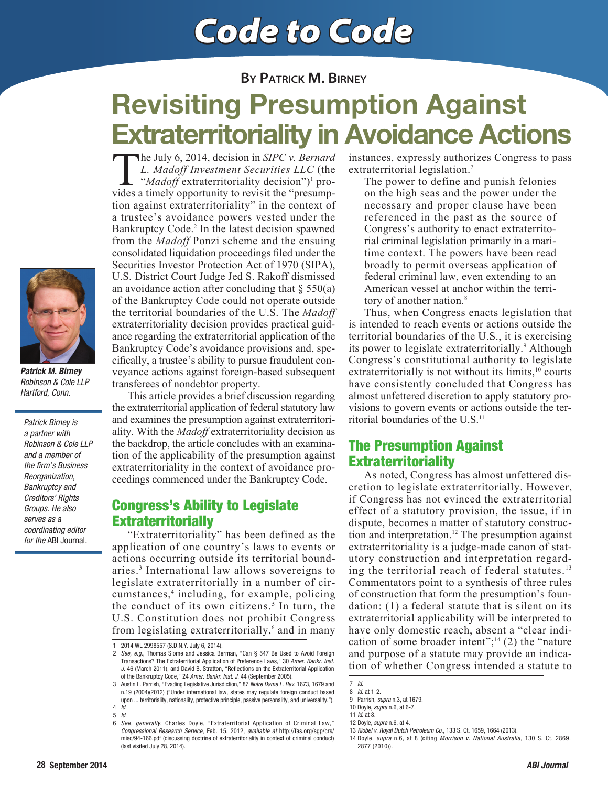# Code to Code

**BY PATRICK M. BIRNEY**

## Revisiting Presumption Against Extraterritoriality in Avoidance Actions

The July 6, 2014, decision in *SIPC v. Bernard L. Madoff Investment Securities LLC* (the "*Madoff* extraterritoriality decision")<sup>1</sup> provides a timely opportunity to revisit the "presumphe July 6, 2014, decision in *SIPC v. Bernard L. Madoff Investment Securities LLC* (the "*Madoff* extraterritoriality decision")<sup>1</sup> protion against extraterritoriality" in the context of a trustee's avoidance powers vested under the Bankruptcy Code.<sup>2</sup> In the latest decision spawned from the *Madoff* Ponzi scheme and the ensuing consolidated liquidation proceedings filed under the Securities Investor Protection Act of 1970 (SIPA), U.S. District Court Judge Jed S. Rakoff dismissed an avoidance action after concluding that  $\S 550(a)$ of the Bankruptcy Code could not operate outside the territorial boundaries of the U.S. The *Madoff* extraterritoriality decision provides practical guidance regarding the extraterritorial application of the Bankruptcy Code's avoidance provisions and, specifically, a trustee's ability to pursue fraudulent conveyance actions against foreign-based subsequent transferees of nondebtor property.

 This article provides a brief discussion regarding the extraterritorial application of federal statutory law and examines the presumption against extraterritoriality. With the *Madoff* extraterritoriality decision as the backdrop, the article concludes with an examination of the applicability of the presumption against extraterritoriality in the context of avoidance proceedings commenced under the Bankruptcy Code.

#### Congress's Ability to Legislate **Extraterritorially**

 "Extraterritoriality" has been defined as the application of one country's laws to events or actions occurring outside its territorial boundaries.<sup>3</sup> International law allows sovereigns to legislate extraterritorially in a number of circumstances,<sup>4</sup> including, for example, policing the conduct of its own citizens.<sup>5</sup> In turn, the U.S. Constitution does not prohibit Congress from legislating extraterritorially,<sup>6</sup> and in many instances, expressly authorizes Congress to pass extraterritorial legislation.<sup>7</sup>

The power to define and punish felonies on the high seas and the power under the necessary and proper clause have been referenced in the past as the source of Congress's authority to enact extraterritorial criminal legislation primarily in a maritime context. The powers have been read broadly to permit overseas application of federal criminal law, even extending to an American vessel at anchor within the territory of another nation.<sup>8</sup>

 Thus, when Congress enacts legislation that is intended to reach events or actions outside the territorial boundaries of the U.S., it is exercising its power to legislate extraterritorially.<sup>9</sup> Although Congress's constitutional authority to legislate extraterritorially is not without its limits, $10$  courts have consistently concluded that Congress has almost unfettered discretion to apply statutory provisions to govern events or actions outside the territorial boundaries of the U.S.<sup>11</sup>

### The Presumption Against **Extraterritoriality**

 As noted, Congress has almost unfettered discretion to legislate extraterritorially. However, if Congress has not evinced the extraterritorial effect of a statutory provision, the issue, if in dispute, becomes a matter of statutory construction and interpretation.<sup>12</sup> The presumption against extraterritoriality is a judge-made canon of statutory construction and interpretation regarding the territorial reach of federal statutes. $13$ Commentators point to a synthesis of three rules of construction that form the presumption's foundation: (1) a federal statute that is silent on its extraterritorial applicability will be interpreted to have only domestic reach, absent a "clear indication of some broader intent"; $^{14}$  (2) the "nature and purpose of a statute may provide an indication of whether Congress intended a statute to



*Patrick M. Birney* Robinson & Cole LLP Hartford, Conn.

Patrick Birney is a partner with Robinson & Cole LLP and a member of the firm's Business Reorganization, Bankruptcy and Creditors' Rights Groups. He also serves as a coordinating editor for the ABI Journal.

<sup>2014</sup> WL 2998557 (S.D.N.Y. July 6, 2014).

<sup>2</sup> See, e.g., Thomas Slome and Jessica Berman, "Can § 547 Be Used to Avoid Foreign Transactions? The Extraterritorial Application of Preference Laws," 30 Amer. Bankr. Inst. J. 46 (March 2011), and David B. Stratton, "Reflections on the Extraterritorial Application of the Bankruptcy Code," 24 Amer. Bankr. Inst. J. 44 (September 2005).

<sup>3</sup> Austin L. Parrish, "Evading Legislative Jurisdiction," 87 Notre Dame L. Rev. 1673, 1679 and n.19 (2004)(2012) ("Under international law, states may regulate foreign conduct based upon ... territoriality, nationality, protective principle, passive personality, and universality."). 4 Id.

<sup>5</sup> Id.

<sup>6</sup> See, generally, Charles Doyle, "Extraterritorial Application of Criminal Law, Congressional Research Service, Feb. 15, 2012, available at http://fas.org/sgp/crs/ misc/94-166.pdf (discussing doctrine of extraterritoriality in context of criminal conduct) (last visited July 28, 2014).

<sup>7</sup> Id.

<sup>8</sup> Id. at 1-2. 9 Parrish, supra n.3, at 1679.

<sup>10</sup> Doyle, supra n.6, at 6-7.

<sup>11</sup> Id. at 8.

<sup>12</sup> Doyle, supra n.6, at 4.

<sup>13</sup> Kiobel v. Royal Dutch Petroleum Co., 133 S. Ct. 1659, 1664 (2013).

<sup>14</sup> Doyle, supra n.6, at 8 (citing Morrison v. National Australia, 130 S. Ct. 2869, 2877 (2010)).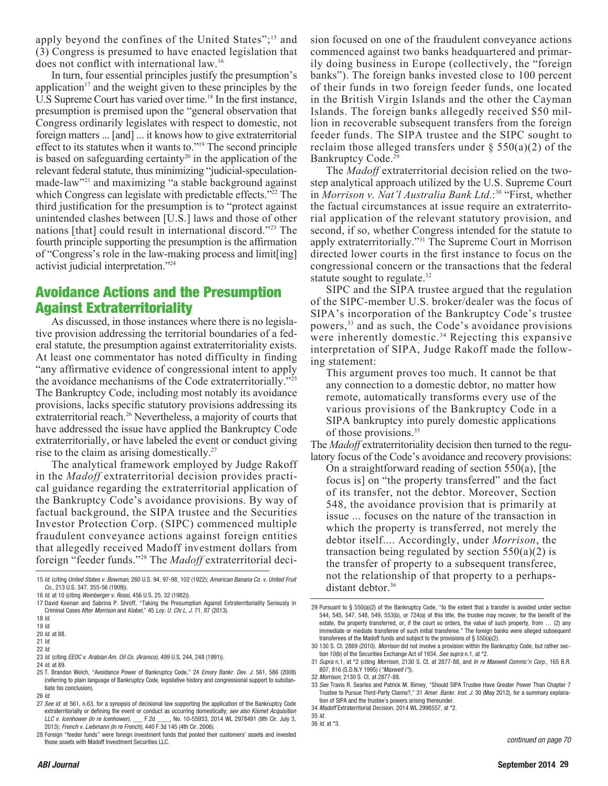apply beyond the confines of the United States";<sup>15</sup> and (3) Congress is presumed to have enacted legislation that does not conflict with international law.<sup>16</sup>

 In turn, four essential principles justify the presumption's application<sup> $17$ </sup> and the weight given to these principles by the U.S Supreme Court has varied over time.<sup>18</sup> In the first instance, presumption is premised upon the "general observation that Congress ordinarily legislates with respect to domestic, not foreign matters ... [and] ... it knows how to give extraterritorial effect to its statutes when it wants to."<sup>19</sup> The second principle is based on safeguarding certainty<sup>20</sup> in the application of the relevant federal statute, thus minimizing "judicial-speculationmade-law"<sup>21</sup> and maximizing "a stable background against which Congress can legislate with predictable effects."<sup>22</sup> The third justification for the presumption is to "protect against" unintended clashes between [U.S.] laws and those of other nations [that] could result in international discord."<sup>23</sup> The fourth principle supporting the presumption is the affirmation of "Congress's role in the law-making process and limit [ing] activist judicial interpretation."<sup>24</sup>

### Avoidance Actions and the Presumption Against Extraterritoriality

 As discussed, in those instances where there is no legislative provision addressing the territorial boundaries of a federal statute, the presumption against extraterritoriality exists. At least one commentator has noted difficulty in finding "any affirmative evidence of congressional intent to apply the avoidance mechanisms of the Code extraterritorially."<sup>25</sup> The Bankruptcy Code, including most notably its avoidance provisions, lacks specific statutory provisions addressing its extraterritorial reach.<sup>26</sup> Nevertheless, a majority of courts that have addressed the issue have applied the Bankruptcy Code extraterritorially, or have labeled the event or conduct giving rise to the claim as arising domestically.<sup>27</sup>

 The analytical framework employed by Judge Rakoff in the *Madoff* extraterritorial decision provides practical guidance regarding the extraterritorial application of the Bankruptcy Code's avoidance provisions. By way of factual background, the SIPA trustee and the Securities Investor Protection Corp. (SIPC) commenced multiple fraudulent conveyance actions against foreign entities that allegedly received Madoff investment dollars from foreign "feeder funds."28 The *Madoff* extraterritorial deci-

27 See id. at 561, n.63, for a synopsis of decisional law supporting the application of the Bankruptcy Code extraterritorially or defining the event or conduct as occurring domestically; see also Kismet Acquisition<br>LLC v. Icenhower (In re Icenhower). F.2d . No. 10-55933, 2014 WL 2978491 (9th Cir. July 3. LLC v. Icenhower (In re Icenhower),  $\rule{1em}{0.15mm}$  F.2d  $\_$ 2013); French v. Liebmann (In re French), 440 F.3d 145 (4th Cir. 2006).

sion focused on one of the fraudulent conveyance actions commenced against two banks headquartered and primarily doing business in Europe (collectively, the "foreign banks"). The foreign banks invested close to 100 percent of their funds in two foreign feeder funds, one located in the British Virgin Islands and the other the Cayman Islands. The foreign banks allegedly received \$50 million in recoverable subsequent transfers from the foreign feeder funds. The SIPA trustee and the SIPC sought to reclaim those alleged transfers under  $\S$  550(a)(2) of the Bankruptcy Code.<sup>29</sup>

 The *Madoff* extraterritorial decision relied on the twostep analytical approach utilized by the U.S. Supreme Court in *Morrison v. Nat'l Australia Bank Ltd*.:<sup>30</sup> "First, whether the factual circumstances at issue require an extraterritorial application of the relevant statutory provision, and second, if so, whether Congress intended for the statute to apply extraterritorially."<sup>31</sup> The Supreme Court in Morrison directed lower courts in the first instance to focus on the congressional concern or the transactions that the federal statute sought to regulate.<sup>32</sup>

 SIPC and the SIPA trustee argued that the regulation of the SIPC-member U.S. broker/dealer was the focus of SIPA's incorporation of the Bankruptcy Code's trustee powers,<sup>33</sup> and as such, the Code's avoidance provisions were inherently domestic.<sup>34</sup> Rejecting this expansive interpretation of SIPA, Judge Rakoff made the following statement:

This argument proves too much. It cannot be that any connection to a domestic debtor, no matter how remote, automatically transforms every use of the various provisions of the Bankruptcy Code in a SIPA bankruptcy into purely domestic applications of those provisions.<sup>35</sup>

The *Madoff* extraterritoriality decision then turned to the regulatory focus of the Code's avoidance and recovery provisions:

On a straightforward reading of section  $550(a)$ , [the focus is] on "the property transferred" and the fact of its transfer, not the debtor. Moreover, Section 548, the avoidance provision that is primarily at issue ... focuses on the nature of the transaction in which the property is transferred, not merely the debtor itself.... Accordingly, under *Morrison*, the transaction being regulated by section  $550(a)(2)$  is the transfer of property to a subsequent transferee, not the relationship of that property to a perhapsdistant debtor.<sup>36</sup>

<sup>15</sup> Id. (citing United States v. Bowman, 260 U.S. 94, 97-98, 102 (1922); American Banana Co. v. United Fruit Co., 213 U.S. 347, 355-56 (1909)).

<sup>16</sup> Id. at 10 (citing Weinberger v. Rossi, 456 U.S. 25, 32 (1982)).

<sup>17</sup> David Keenan and Sabrina P. Shroff, "Taking the Presumption Against Extraterritoriality Seriously in Criminal Cases After Morrison and Kiobel," 45 Loy. U. Chi L. J. 71, 87 (2013).

<sup>18</sup> Id.

<sup>19</sup> Id.

<sup>20</sup> Id. at 88. 21 Id.

<sup>22</sup> Id.

<sup>23</sup> Id. (citing EEOC v. Arabian Am. Oil Co. (Aramco), 499 U.S. 244, 248 (1991)).

<sup>24</sup> Id. at 89.

<sup>25</sup> T. Brandon Welch, "Avoidance Power of Bankruptcy Code," 24 Emory Bankr. Dev. J. 561, 586 (2008) (referring to plain language of Bankruptcy Code, legislative history and congressional support to substantiate his conclusion).

<sup>26</sup> Id.

<sup>28</sup> Foreign "feeder funds" were foreign investment funds that pooled their customers' assets and invested those assets with Madoff Investment Securities LLC.

<sup>29</sup> Pursuant to  $\S$  550(a)(2) of the Bankruptcy Code, "to the extent that a transfer is avoided under section 544, 545, 547, 548, 549, 553(b), or 724(a) of this title, the trustee may recover, for the benefit of the estate, the property transferred, or, if the court so orders, the value of such property, from … (2) any immediate or mediate transferee of such initial transferee." The foreign banks were alleged subsequent transferees of the Madoff funds and subject to the provisions of § 550(a)(2).

<sup>30 130</sup> S. Ct. 2869 (2010). Morrison did not involve a provision within the Bankruptcy Code, but rather section 10(b) of the Securities Exchange Act of 1934. See supra n.1, at \*2.

<sup>31</sup> Supra n.1, at \*2 (citing Morrison, 2130 S. Ct. at 2877-88, and In re Maxwell Commc'n Corp., 165 B.R. 807, 816 (S.D.N.Y 1995) ("Maxwell I")).

<sup>32</sup> Morrison, 2130 S. Ct. at 2877-88.

<sup>33</sup> See Travis R. Searles and Patrick M. Birney, "Should SIPA Trustee Have Greater Power Than Chapter 7 Trustee to Pursue Third-Party Claims?," 31 Amer. Bankr. Inst. J. 30 (May 2012), for a summary explanation of SIPA and the trustee's powers arising thereunder.

<sup>34</sup> Madoff Extraterritorial Decision, 2014 WL 2998557, at \*2.

<sup>35</sup> Id. 36 Id. at \*3.